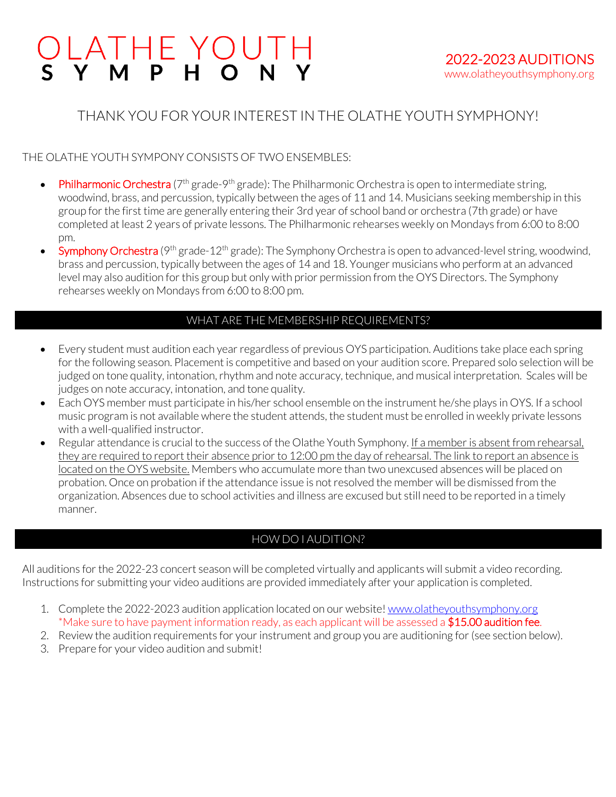# LATHE YOUTH<br>Y M P H O N Y

# THANK YOU FOR YOUR INTEREST IN THE OLATHE YOUTH SYMPHONY!

# THE OLATHE YOUTH SYMPONY CONSISTS OF TWO ENSEMBLES:

- Philharmonic Orchestra  $(7<sup>th</sup>$  grade-9<sup>th</sup> grade): The Philharmonic Orchestra is open to intermediate string, woodwind, brass, and percussion, typically between the ages of 11 and 14. Musicians seeking membership in this group for the first time are generally entering their 3rd year of school band or orchestra (7th grade) or have completed at least 2 years of private lessons. The Philharmonic rehearses weekly on Mondays from 6:00 to 8:00 pm.
- Symphony Orchestra (9<sup>th</sup> grade-12<sup>th</sup> grade): The Symphony Orchestra is open to advanced-level string, woodwind, brass and percussion, typically between the ages of 14 and 18. Younger musicians who perform at an advanced level may also audition for this group but only with prior permission from the OYS Directors. The Symphony rehearses weekly on Mondays from 6:00 to 8:00 pm.

# WHAT ARE THE MEMBERSHIP REQUIREMENTS?

- Every student must audition each year regardless of previous OYS participation. Auditions take place each spring for the following season. Placement is competitive and based on your audition score. Prepared solo selection will be judged on tone quality, intonation, rhythm and note accuracy, technique, and musical interpretation. Scales will be judges on note accuracy, intonation, and tone quality.
- Each OYS member must participate in his/her school ensemble on the instrument he/she plays in OYS. If a school music program is not available where the student attends, the student must be enrolled in weekly private lessons with a well-qualified instructor.
- Regular attendance is crucial to the success of the Olathe Youth Symphony. If a member is absent from rehearsal, they are required to report their absence prior to 12:00 pm the day of rehearsal. The link to report an absence is located on the OYS website. Members who accumulate more than two unexcused absences will be placed on probation. Once on probation if the attendance issue is not resolved the member will be dismissed from the organization. Absences due to school activities and illness are excused but still need to be reported in a timely manner.

# HOW DO I AUDITION?

All auditions for the 2022-23 concert season will be completed virtually and applicants will submit a video recording. Instructions for submitting your video auditions are provided immediately after your application is completed.

- 1. Complete the 2022-2023 audition application located on our website! www.olatheyouthsymphony.org \*Make sure to have payment information ready, as each applicant will be assessed a \$15.00 audition fee.
- 2. Review the audition requirements for your instrument and group you are auditioning for (see section below).
- 3. Prepare for your video audition and submit!